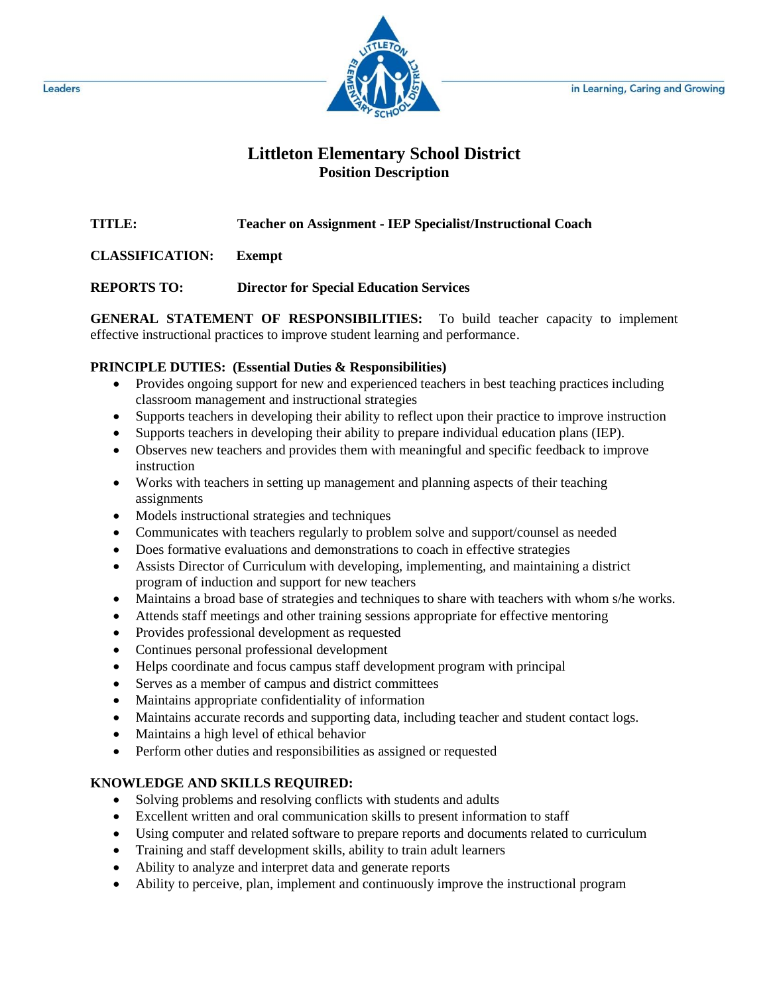in Learning, Caring and Growing



# **Littleton Elementary School District Position Description**

**TITLE: Teacher on Assignment - IEP Specialist/Instructional Coach**

**CLASSIFICATION: Exempt**

**REPORTS TO: Director for Special Education Services**

**GENERAL STATEMENT OF RESPONSIBILITIES:** To build teacher capacity to implement effective instructional practices to improve student learning and performance.

## **PRINCIPLE DUTIES: (Essential Duties & Responsibilities)**

- Provides ongoing support for new and experienced teachers in best teaching practices including classroom management and instructional strategies
- Supports teachers in developing their ability to reflect upon their practice to improve instruction
- Supports teachers in developing their ability to prepare individual education plans (IEP).
- Observes new teachers and provides them with meaningful and specific feedback to improve instruction
- Works with teachers in setting up management and planning aspects of their teaching assignments
- Models instructional strategies and techniques
- Communicates with teachers regularly to problem solve and support/counsel as needed
- Does formative evaluations and demonstrations to coach in effective strategies
- Assists Director of Curriculum with developing, implementing, and maintaining a district program of induction and support for new teachers
- Maintains a broad base of strategies and techniques to share with teachers with whom s/he works.
- Attends staff meetings and other training sessions appropriate for effective mentoring
- Provides professional development as requested
- Continues personal professional development
- Helps coordinate and focus campus staff development program with principal
- Serves as a member of campus and district committees
- Maintains appropriate confidentiality of information
- Maintains accurate records and supporting data, including teacher and student contact logs.
- Maintains a high level of ethical behavior
- Perform other duties and responsibilities as assigned or requested

## **KNOWLEDGE AND SKILLS REQUIRED:**

- Solving problems and resolving conflicts with students and adults
- Excellent written and oral communication skills to present information to staff
- Using computer and related software to prepare reports and documents related to curriculum
- Training and staff development skills, ability to train adult learners
- Ability to analyze and interpret data and generate reports
- Ability to perceive, plan, implement and continuously improve the instructional program

Leaders